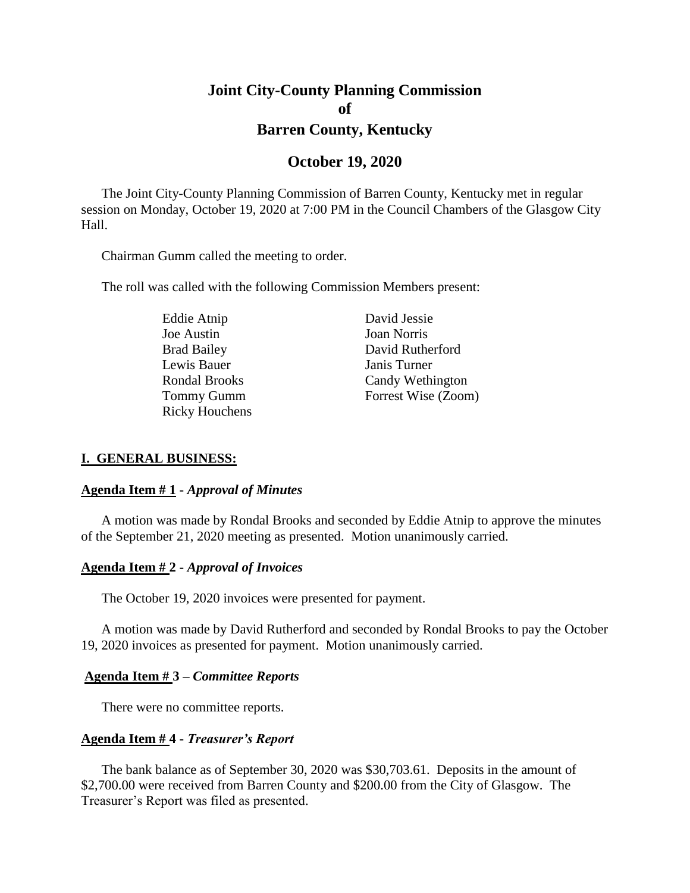# **Joint City-County Planning Commission of Barren County, Kentucky**

## **October 19, 2020**

The Joint City-County Planning Commission of Barren County, Kentucky met in regular session on Monday, October 19, 2020 at 7:00 PM in the Council Chambers of the Glasgow City Hall.

Chairman Gumm called the meeting to order.

The roll was called with the following Commission Members present:

Eddie Atnip David Jessie Joe Austin Joan Norris Lewis Bauer Janis Turner Ricky Houchens

Brad Bailey David Rutherford Rondal Brooks Candy Wethington Tommy Gumm Forrest Wise (Zoom)

## **I. GENERAL BUSINESS:**

#### **Agenda Item # 1 -** *Approval of Minutes*

A motion was made by Rondal Brooks and seconded by Eddie Atnip to approve the minutes of the September 21, 2020 meeting as presented. Motion unanimously carried.

## **Agenda Item # 2 -** *Approval of Invoices*

The October 19, 2020 invoices were presented for payment.

A motion was made by David Rutherford and seconded by Rondal Brooks to pay the October 19, 2020 invoices as presented for payment. Motion unanimously carried.

#### **Agenda Item # 3 –** *Committee Reports*

There were no committee reports.

## **Agenda Item # 4 -** *Treasurer's Report*

The bank balance as of September 30, 2020 was \$30,703.61. Deposits in the amount of \$2,700.00 were received from Barren County and \$200.00 from the City of Glasgow. The Treasurer's Report was filed as presented.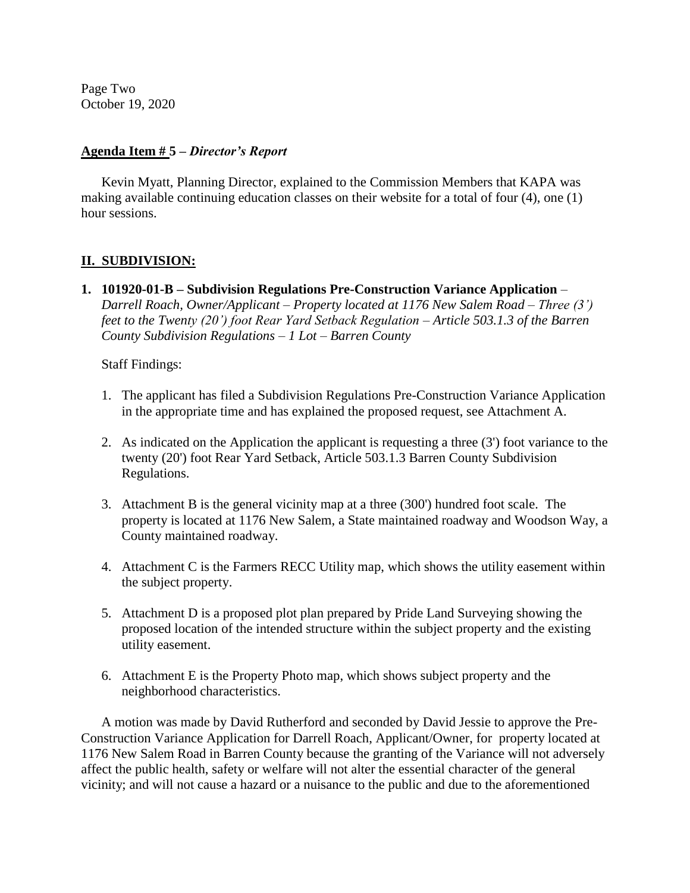Page Two October 19, 2020

## **Agenda Item # 5 –** *Director's Report*

Kevin Myatt, Planning Director, explained to the Commission Members that KAPA was making available continuing education classes on their website for a total of four (4), one (1) hour sessions.

## **II. SUBDIVISION:**

**1. 101920-01-B – Subdivision Regulations Pre-Construction Variance Application** *– Darrell Roach, Owner/Applicant – Property located at 1176 New Salem Road – Three (3') feet to the Twenty (20') foot Rear Yard Setback Regulation – Article 503.1.3 of the Barren County Subdivision Regulations – 1 Lot – Barren County*

Staff Findings:

- 1. The applicant has filed a Subdivision Regulations Pre-Construction Variance Application in the appropriate time and has explained the proposed request, see Attachment A.
- 2. As indicated on the Application the applicant is requesting a three (3') foot variance to the twenty (20') foot Rear Yard Setback, Article 503.1.3 Barren County Subdivision Regulations.
- 3. Attachment B is the general vicinity map at a three (300') hundred foot scale. The property is located at 1176 New Salem, a State maintained roadway and Woodson Way, a County maintained roadway.
- 4. Attachment C is the Farmers RECC Utility map, which shows the utility easement within the subject property.
- 5. Attachment D is a proposed plot plan prepared by Pride Land Surveying showing the proposed location of the intended structure within the subject property and the existing utility easement.
- 6. Attachment E is the Property Photo map, which shows subject property and the neighborhood characteristics.

A motion was made by David Rutherford and seconded by David Jessie to approve the Pre-Construction Variance Application for Darrell Roach, Applicant/Owner, for property located at 1176 New Salem Road in Barren County because the granting of the Variance will not adversely affect the public health, safety or welfare will not alter the essential character of the general vicinity; and will not cause a hazard or a nuisance to the public and due to the aforementioned